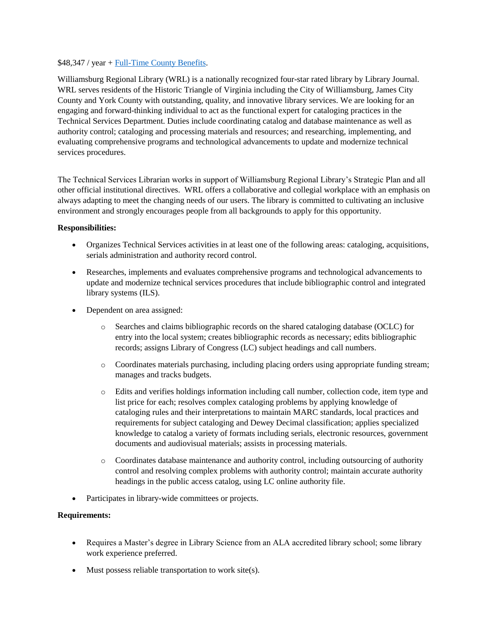## \$48,347 / year + [Full-Time County Benefits.](https://jamescitycountyva.gov/DocumentCenter/View/16820/Full-Time-Benefits-Booklet-PDF?bidId=)

Williamsburg Regional Library (WRL) is a nationally recognized four-star rated library by Library Journal. WRL serves residents of the Historic Triangle of Virginia including the City of Williamsburg, James City County and York County with outstanding, quality, and innovative library services. We are looking for an engaging and forward-thinking individual to act as the functional expert for cataloging practices in the Technical Services Department. Duties include coordinating catalog and database maintenance as well as authority control; cataloging and processing materials and resources; and researching, implementing, and evaluating comprehensive programs and technological advancements to update and modernize technical services procedures.

The Technical Services Librarian works in support of Williamsburg Regional Library's Strategic Plan and all other official institutional directives. WRL offers a collaborative and collegial workplace with an emphasis on always adapting to meet the changing needs of our users. The library is committed to cultivating an inclusive environment and strongly encourages people from all backgrounds to apply for this opportunity.

## **Responsibilities:**

- Organizes Technical Services activities in at least one of the following areas: cataloging, acquisitions, serials administration and authority record control.
- Researches, implements and evaluates comprehensive programs and technological advancements to update and modernize technical services procedures that include bibliographic control and integrated library systems (ILS).
- Dependent on area assigned:
	- o Searches and claims bibliographic records on the shared cataloging database (OCLC) for entry into the local system; creates bibliographic records as necessary; edits bibliographic records; assigns Library of Congress (LC) subject headings and call numbers.
	- o Coordinates materials purchasing, including placing orders using appropriate funding stream; manages and tracks budgets.
	- o Edits and verifies holdings information including call number, collection code, item type and list price for each; resolves complex cataloging problems by applying knowledge of cataloging rules and their interpretations to maintain MARC standards, local practices and requirements for subject cataloging and Dewey Decimal classification; applies specialized knowledge to catalog a variety of formats including serials, electronic resources, government documents and audiovisual materials; assists in processing materials.
	- o Coordinates database maintenance and authority control, including outsourcing of authority control and resolving complex problems with authority control; maintain accurate authority headings in the public access catalog, using LC online authority file.
- Participates in library-wide committees or projects.

## **Requirements:**

- Requires a Master's degree in Library Science from an ALA accredited library school; some library work experience preferred.
- Must possess reliable transportation to work site(s).